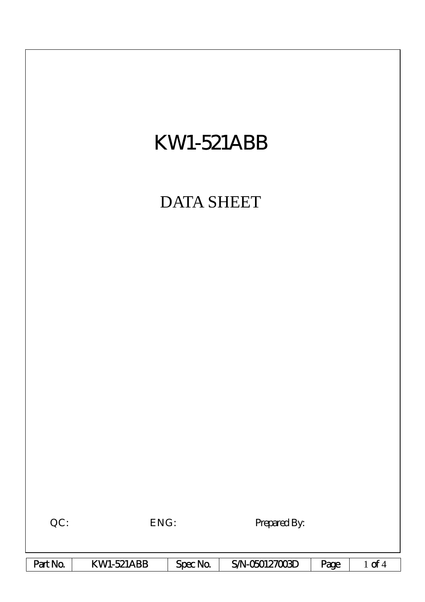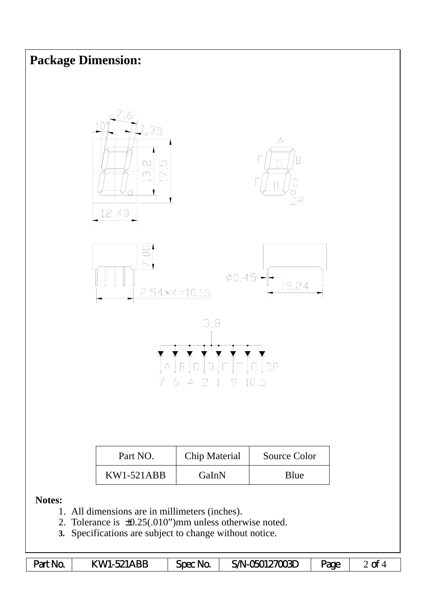## **Package Dimension:**









| Part NO.     | Chip Material | Source Color |
|--------------|---------------|--------------|
| $KW1-521ABB$ | GaInN         | Blue         |

## **Notes:**

- 1. All dimensions are in millimeters (inches).
- 2. Tolerance is ±0.25(.010")mm unless otherwise noted.
- **3.** Specifications are subject to change without notice.

| Part No. | KW1-521ABB | Spec No | SA-050127003D | Page | $\mathbf{\alpha}$ |
|----------|------------|---------|---------------|------|-------------------|
|----------|------------|---------|---------------|------|-------------------|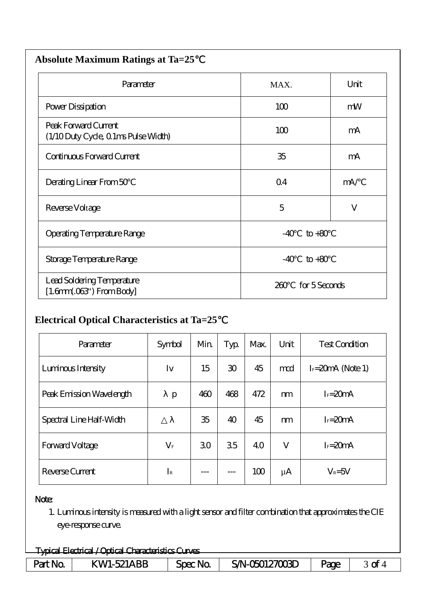| <b>Absolute Maximum Ratings at Ta=25</b>                     |                          |         |  |  |  |  |
|--------------------------------------------------------------|--------------------------|---------|--|--|--|--|
| Parameter                                                    | MAX.                     | Unit    |  |  |  |  |
| Power Dissipation                                            | 100                      | mW      |  |  |  |  |
| Peak Forward Current<br>(1/10 Duty Cycle, 0 1ms Pulse Width) | 100                      | mA      |  |  |  |  |
| Continuous Forward Current                                   | 35                       | mA      |  |  |  |  |
| Derating Linear From 50                                      | Q <sub>4</sub>           | mA/     |  |  |  |  |
| Reverse Voltage                                              | 5                        | $\bf V$ |  |  |  |  |
| <b>Operating Temperature Range</b>                           | $-40$<br>$to +80$        |         |  |  |  |  |
| Storage Temperature Range                                    | $-40$<br>$\text{to} +80$ |         |  |  |  |  |
| Lead Soldering Temperature<br>$[1.6mm.03$ ") From Body]      | for 5 Seconds<br>260     |         |  |  |  |  |

## **Electrical Optical Characteristics at Ta=25**℃

| Parameter                | Symbol          | Min | Typ             | Max. | Unit    | <b>Test Condition</b> |
|--------------------------|-----------------|-----|-----------------|------|---------|-----------------------|
| Luminous Intensity       | Iv              | 15  | 30 <sup>°</sup> | 45   | md      | $I = 20$ mA (Note 1)  |
| Peak Emission Wavelength | p               | 460 | 468             | 472  | m       | $I_F = 20mA$          |
| Spectral Line Half-Width |                 | 35  | 40              | 45   | m       | $I_F = 20mA$          |
| Forward Voltage          | $\rm V_{\rm F}$ | 30  | 35              | 40   | V       | $I_F = 20mA$          |
| Reverse Current          | $I_{\rm R}$     |     |                 | 100  | $\mu$ A | $V_R = 5V$            |

## Note:

1. Luminous intensity is measured with a light sensor and filter combination that approximates the CIE eye-response curve.

| Tyrical Flectrical / Ortical Characteristics Curves  |                            |                |                |             |                 |  |  |
|------------------------------------------------------|----------------------------|----------------|----------------|-------------|-----------------|--|--|
| <del>- Taux Liuttu / Upiui Vittua Dialetti Vit</del> |                            |                |                |             |                 |  |  |
| <b>No.</b><br>Part                                   | ABP<br>KWI-521<br><b>Δ</b> | <b>Spec No</b> | SAN-060127003D | <b>Page</b> | ~<br>$\tilde{}$ |  |  |